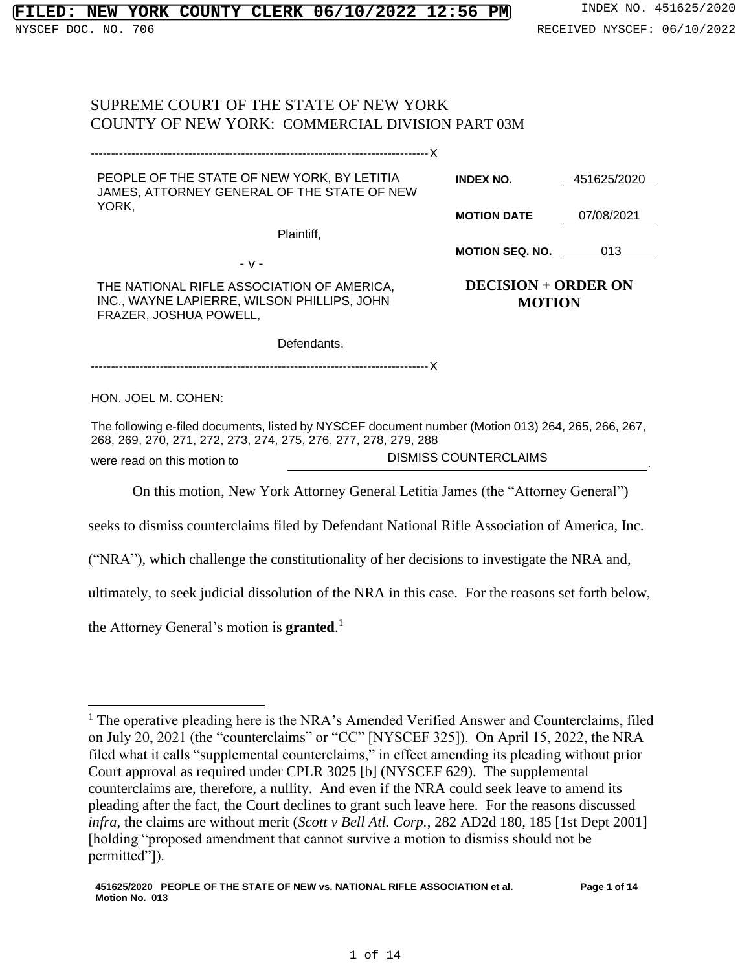# SUPREME COURT OF THE STATE OF NEW YORK COUNTY OF NEW YORK: COMMERCIAL DIVISION PART 03M

| PEOPLE OF THE STATE OF NEW YORK, BY LETITIA<br>JAMES, ATTORNEY GENERAL OF THE STATE OF NEW                                                                            | <b>INDEX NO.</b>             | 451625/2020                                 |  |  |
|-----------------------------------------------------------------------------------------------------------------------------------------------------------------------|------------------------------|---------------------------------------------|--|--|
| YORK,                                                                                                                                                                 | <b>MOTION DATE</b>           | 07/08/2021                                  |  |  |
| Plaintiff,                                                                                                                                                            |                              |                                             |  |  |
|                                                                                                                                                                       | <b>MOTION SEQ. NO.</b>       | 013                                         |  |  |
| - v -                                                                                                                                                                 |                              |                                             |  |  |
| THE NATIONAL RIFLE ASSOCIATION OF AMERICA,<br>INC., WAYNE LAPIERRE, WILSON PHILLIPS, JOHN<br>FRAZER, JOSHUA POWELL,                                                   |                              | <b>DECISION + ORDER ON</b><br><b>MOTION</b> |  |  |
| Defendants.                                                                                                                                                           |                              |                                             |  |  |
|                                                                                                                                                                       |                              |                                             |  |  |
| HON. JOEL M. COHEN:                                                                                                                                                   |                              |                                             |  |  |
| The following e-filed documents, listed by NYSCEF document number (Motion 013) 264, 265, 266, 267,<br>268, 269, 270, 271, 272, 273, 274, 275, 276, 277, 278, 279, 288 |                              |                                             |  |  |
| were read on this motion to                                                                                                                                           | <b>DISMISS COUNTERCLAIMS</b> |                                             |  |  |
| On this motion, New York Attorney General Letitia James (the "Attorney General")                                                                                      |                              |                                             |  |  |

seeks to dismiss counterclaims filed by Defendant National Rifle Association of America, Inc.

("NRA"), which challenge the constitutionality of her decisions to investigate the NRA and,

ultimately, to seek judicial dissolution of the NRA in this case. For the reasons set forth below,

the Attorney General's motion is **granted**. 1

<sup>&</sup>lt;sup>1</sup> The operative pleading here is the NRA's Amended Verified Answer and Counterclaims, filed on July 20, 2021 (the "counterclaims" or "CC" [NYSCEF 325]). On April 15, 2022, the NRA filed what it calls "supplemental counterclaims," in effect amending its pleading without prior Court approval as required under CPLR 3025 [b] (NYSCEF 629). The supplemental counterclaims are, therefore, a nullity. And even if the NRA could seek leave to amend its pleading after the fact, the Court declines to grant such leave here. For the reasons discussed *infra*, the claims are without merit (*Scott v Bell Atl. Corp.*, 282 AD2d 180, 185 [1st Dept 2001] [holding "proposed amendment that cannot survive a motion to dismiss should not be permitted"]).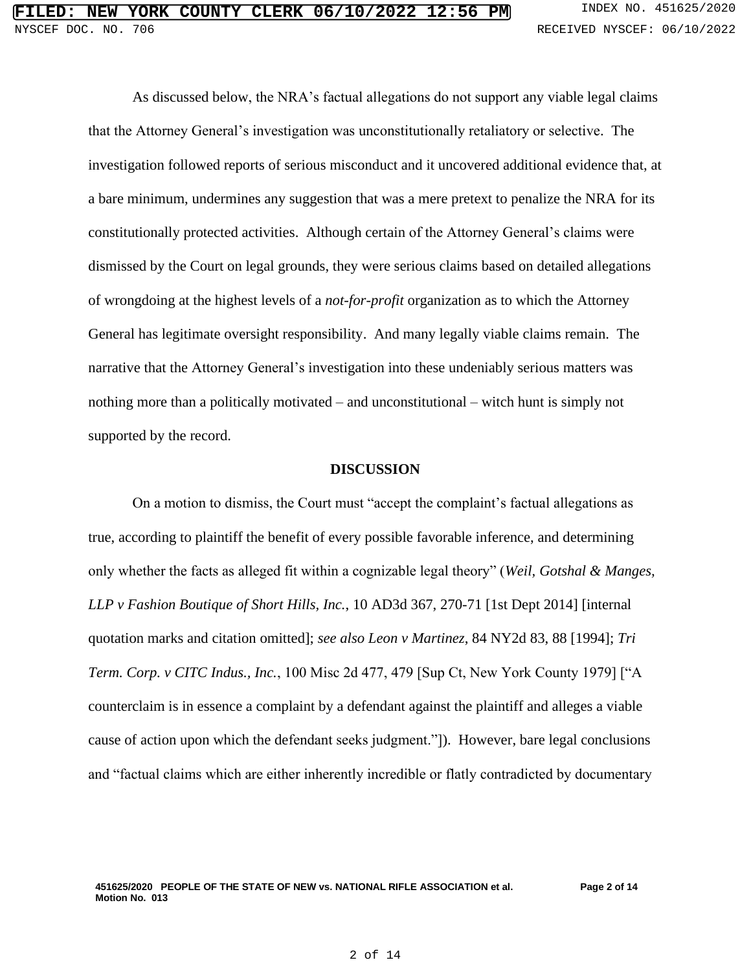As discussed below, the NRA's factual allegations do not support any viable legal claims that the Attorney General's investigation was unconstitutionally retaliatory or selective. The investigation followed reports of serious misconduct and it uncovered additional evidence that, at a bare minimum, undermines any suggestion that was a mere pretext to penalize the NRA for its constitutionally protected activities. Although certain of the Attorney General's claims were dismissed by the Court on legal grounds, they were serious claims based on detailed allegations of wrongdoing at the highest levels of a *not-for-profit* organization as to which the Attorney General has legitimate oversight responsibility. And many legally viable claims remain. The narrative that the Attorney General's investigation into these undeniably serious matters was nothing more than a politically motivated – and unconstitutional – witch hunt is simply not supported by the record.

## **DISCUSSION**

On a motion to dismiss, the Court must "accept the complaint's factual allegations as true, according to plaintiff the benefit of every possible favorable inference, and determining only whether the facts as alleged fit within a cognizable legal theory" (*Weil, Gotshal & Manges, LLP v Fashion Boutique of Short Hills, Inc.*, 10 AD3d 367, 270-71 [1st Dept 2014] [internal quotation marks and citation omitted]; *see also Leon v Martinez*, 84 NY2d 83, 88 [1994]; *Tri Term. Corp. v CITC Indus., Inc.*, 100 Misc 2d 477, 479 [Sup Ct, New York County 1979] ["A counterclaim is in essence a complaint by a defendant against the plaintiff and alleges a viable cause of action upon which the defendant seeks judgment."]). However, bare legal conclusions and "factual claims which are either inherently incredible or flatly contradicted by documentary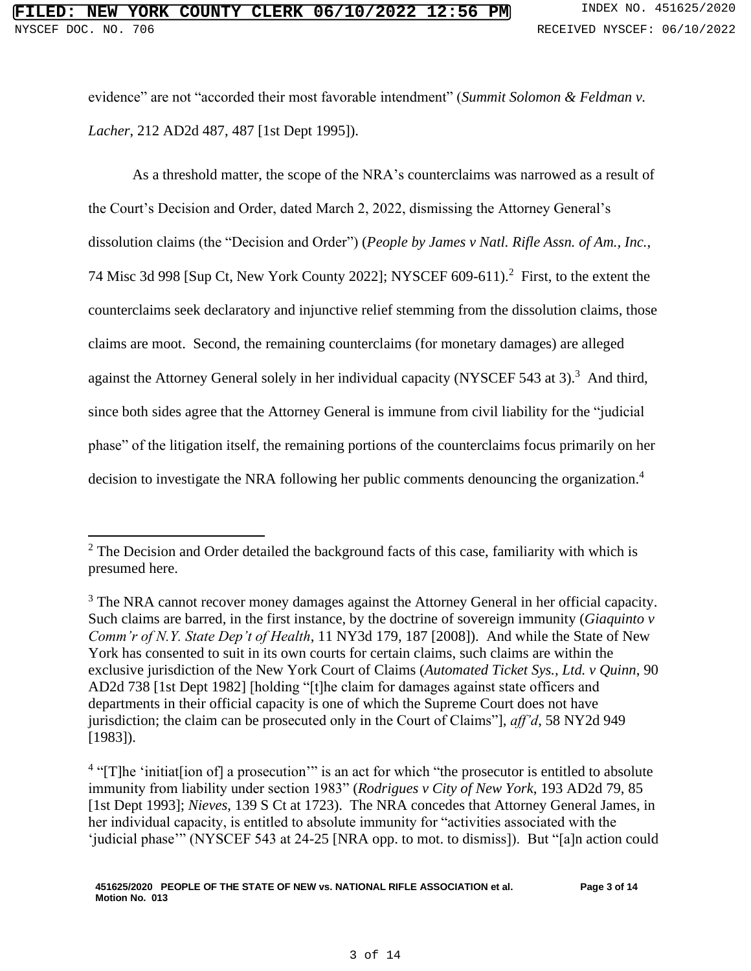evidence" are not "accorded their most favorable intendment" (*Summit Solomon & Feldman v. Lacher*, 212 AD2d 487, 487 [1st Dept 1995]).

As a threshold matter, the scope of the NRA's counterclaims was narrowed as a result of the Court's Decision and Order, dated March 2, 2022, dismissing the Attorney General's dissolution claims (the "Decision and Order") (*People by James v Natl. Rifle Assn. of Am., Inc.*, 74 Misc 3d 998 [Sup Ct, New York County 2022]; NYSCEF 609-611).<sup>2</sup> First, to the extent the counterclaims seek declaratory and injunctive relief stemming from the dissolution claims, those claims are moot. Second, the remaining counterclaims (for monetary damages) are alleged against the Attorney General solely in her individual capacity (NYSCEF 543 at 3).<sup>3</sup> And third, since both sides agree that the Attorney General is immune from civil liability for the "judicial phase" of the litigation itself, the remaining portions of the counterclaims focus primarily on her decision to investigate the NRA following her public comments denouncing the organization.<sup>4</sup>

<sup>&</sup>lt;sup>2</sup> The Decision and Order detailed the background facts of this case, familiarity with which is presumed here.

<sup>&</sup>lt;sup>3</sup> The NRA cannot recover money damages against the Attorney General in her official capacity. Such claims are barred, in the first instance, by the doctrine of sovereign immunity (*Giaquinto v Comm'r of N.Y. State Dep't of Health*, 11 NY3d 179, 187 [2008]). And while the State of New York has consented to suit in its own courts for certain claims, such claims are within the exclusive jurisdiction of the New York Court of Claims (*Automated Ticket Sys., Ltd. v Quinn*, 90 AD2d 738 [1st Dept 1982] [holding "[t]he claim for damages against state officers and departments in their official capacity is one of which the Supreme Court does not have jurisdiction; the claim can be prosecuted only in the Court of Claims"], *aff'd*, 58 NY2d 949 [1983]).

<sup>&</sup>lt;sup>4</sup> "[T]he 'initiat[ion of] a prosecution'" is an act for which "the prosecutor is entitled to absolute immunity from liability under section 1983" (*Rodrigues v City of New York*, 193 AD2d 79, 85 [1st Dept 1993]; *Nieves*, 139 S Ct at 1723). The NRA concedes that Attorney General James, in her individual capacity, is entitled to absolute immunity for "activities associated with the 'judicial phase'" (NYSCEF 543 at 24-25 [NRA opp. to mot. to dismiss]). But "[a]n action could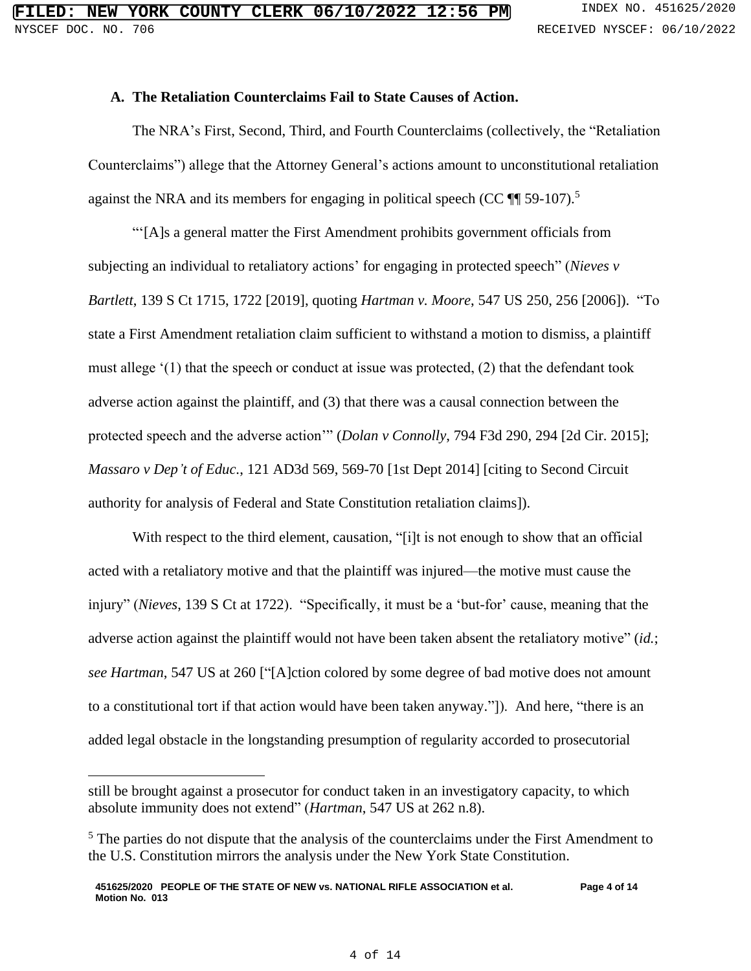## **A. The Retaliation Counterclaims Fail to State Causes of Action.**

The NRA's First, Second, Third, and Fourth Counterclaims (collectively, the "Retaliation Counterclaims") allege that the Attorney General's actions amount to unconstitutional retaliation against the NRA and its members for engaging in political speech (CC  $\mathbb{I}$  59-107).<sup>5</sup>

"'[A]s a general matter the First Amendment prohibits government officials from subjecting an individual to retaliatory actions' for engaging in protected speech" (*Nieves v Bartlett*, 139 S Ct 1715, 1722 [2019], quoting *Hartman v. Moore*, 547 US 250, 256 [2006]). "To state a First Amendment retaliation claim sufficient to withstand a motion to dismiss, a plaintiff must allege '(1) that the speech or conduct at issue was protected, (2) that the defendant took adverse action against the plaintiff, and (3) that there was a causal connection between the protected speech and the adverse action'" (*Dolan v Connolly*, 794 F3d 290, 294 [2d Cir. 2015]; *Massaro v Dep't of Educ.*, 121 AD3d 569, 569-70 [1st Dept 2014] [citing to Second Circuit authority for analysis of Federal and State Constitution retaliation claims]).

With respect to the third element, causation, "[i]t is not enough to show that an official acted with a retaliatory motive and that the plaintiff was injured—the motive must cause the injury" (*Nieves*, 139 S Ct at 1722). "Specifically, it must be a 'but-for' cause, meaning that the adverse action against the plaintiff would not have been taken absent the retaliatory motive" (*id.*; *see Hartman*, 547 US at 260 ["[A]ction colored by some degree of bad motive does not amount to a constitutional tort if that action would have been taken anyway."]). And here, "there is an added legal obstacle in the longstanding presumption of regularity accorded to prosecutorial

still be brought against a prosecutor for conduct taken in an investigatory capacity, to which absolute immunity does not extend" (*Hartman*, 547 US at 262 n.8).

<sup>&</sup>lt;sup>5</sup> The parties do not dispute that the analysis of the counterclaims under the First Amendment to the U.S. Constitution mirrors the analysis under the New York State Constitution.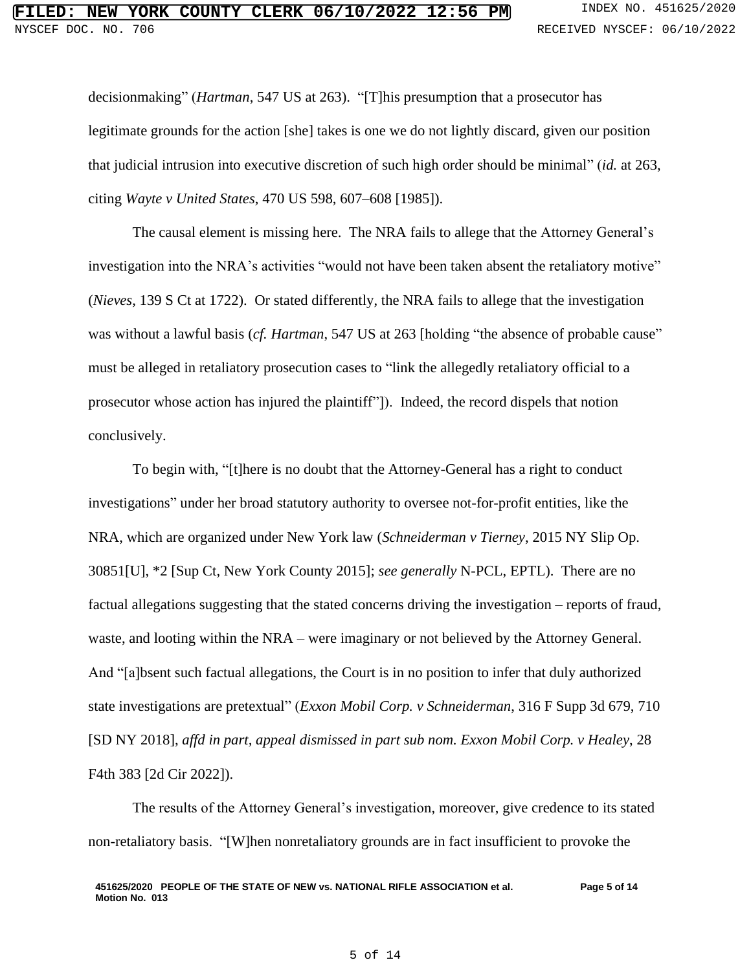decisionmaking" (*Hartman*, 547 US at 263). "[T]his presumption that a prosecutor has legitimate grounds for the action [she] takes is one we do not lightly discard, given our position that judicial intrusion into executive discretion of such high order should be minimal" (*id.* at 263, citing *Wayte v United States*, 470 US 598, 607–608 [1985]).

The causal element is missing here. The NRA fails to allege that the Attorney General's investigation into the NRA's activities "would not have been taken absent the retaliatory motive" (*Nieves*, 139 S Ct at 1722). Or stated differently, the NRA fails to allege that the investigation was without a lawful basis (*cf. Hartman*, 547 US at 263 [holding "the absence of probable cause" must be alleged in retaliatory prosecution cases to "link the allegedly retaliatory official to a prosecutor whose action has injured the plaintiff"]). Indeed, the record dispels that notion conclusively.

To begin with, "[t]here is no doubt that the Attorney-General has a right to conduct investigations" under her broad statutory authority to oversee not-for-profit entities, like the NRA, which are organized under New York law (*Schneiderman v Tierney*, 2015 NY Slip Op. 30851[U], \*2 [Sup Ct, New York County 2015]; *see generally* N-PCL, EPTL). There are no factual allegations suggesting that the stated concerns driving the investigation – reports of fraud, waste, and looting within the NRA – were imaginary or not believed by the Attorney General. And "[a]bsent such factual allegations, the Court is in no position to infer that duly authorized state investigations are pretextual" (*Exxon Mobil Corp. v Schneiderman*, 316 F Supp 3d 679, 710 [SD NY 2018], *affd in part, appeal dismissed in part sub nom. Exxon Mobil Corp. v Healey*, 28 F4th 383 [2d Cir 2022]).

The results of the Attorney General's investigation, moreover, give credence to its stated non-retaliatory basis. "[W]hen nonretaliatory grounds are in fact insufficient to provoke the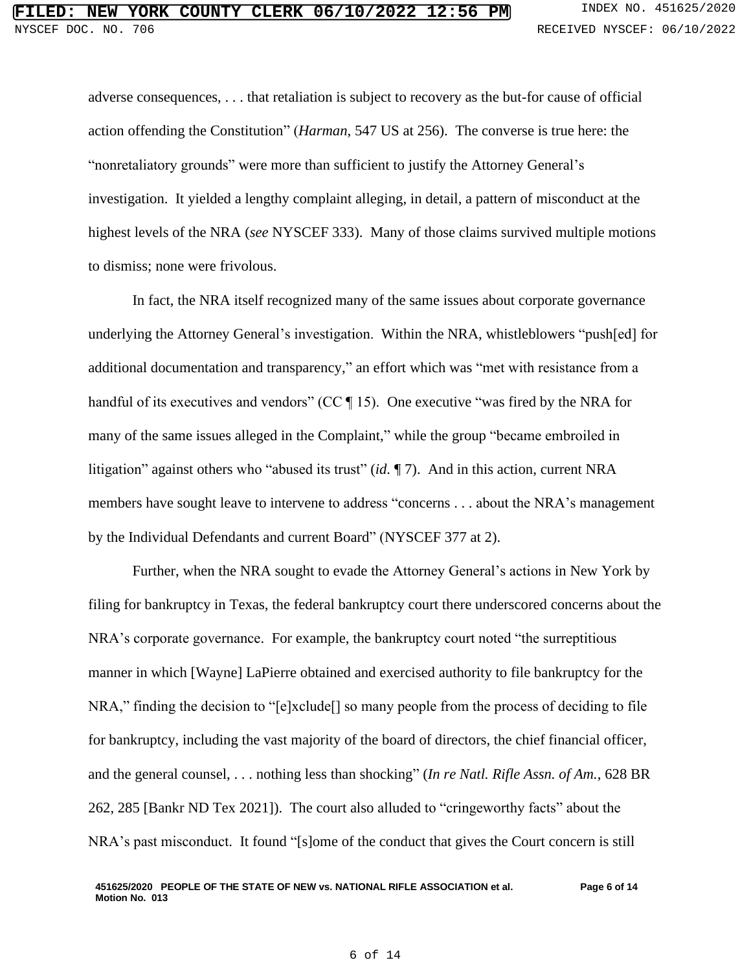adverse consequences, . . . that retaliation is subject to recovery as the but-for cause of official action offending the Constitution" (*Harman*, 547 US at 256). The converse is true here: the "nonretaliatory grounds" were more than sufficient to justify the Attorney General's investigation. It yielded a lengthy complaint alleging, in detail, a pattern of misconduct at the highest levels of the NRA (*see* NYSCEF 333). Many of those claims survived multiple motions to dismiss; none were frivolous.

In fact, the NRA itself recognized many of the same issues about corporate governance underlying the Attorney General's investigation. Within the NRA, whistleblowers "push[ed] for additional documentation and transparency," an effort which was "met with resistance from a handful of its executives and vendors" (CC ¶ 15). One executive "was fired by the NRA for many of the same issues alleged in the Complaint," while the group "became embroiled in litigation" against others who "abused its trust" (*id.* ¶ 7). And in this action, current NRA members have sought leave to intervene to address "concerns . . . about the NRA's management by the Individual Defendants and current Board" (NYSCEF 377 at 2).

Further, when the NRA sought to evade the Attorney General's actions in New York by filing for bankruptcy in Texas, the federal bankruptcy court there underscored concerns about the NRA's corporate governance. For example, the bankruptcy court noted "the surreptitious manner in which [Wayne] LaPierre obtained and exercised authority to file bankruptcy for the NRA," finding the decision to "[e]xclude[] so many people from the process of deciding to file for bankruptcy, including the vast majority of the board of directors, the chief financial officer, and the general counsel, . . . nothing less than shocking" (*In re Natl. Rifle Assn. of Am.*, 628 BR 262, 285 [Bankr ND Tex 2021]). The court also alluded to "cringeworthy facts" about the NRA's past misconduct. It found "[s]ome of the conduct that gives the Court concern is still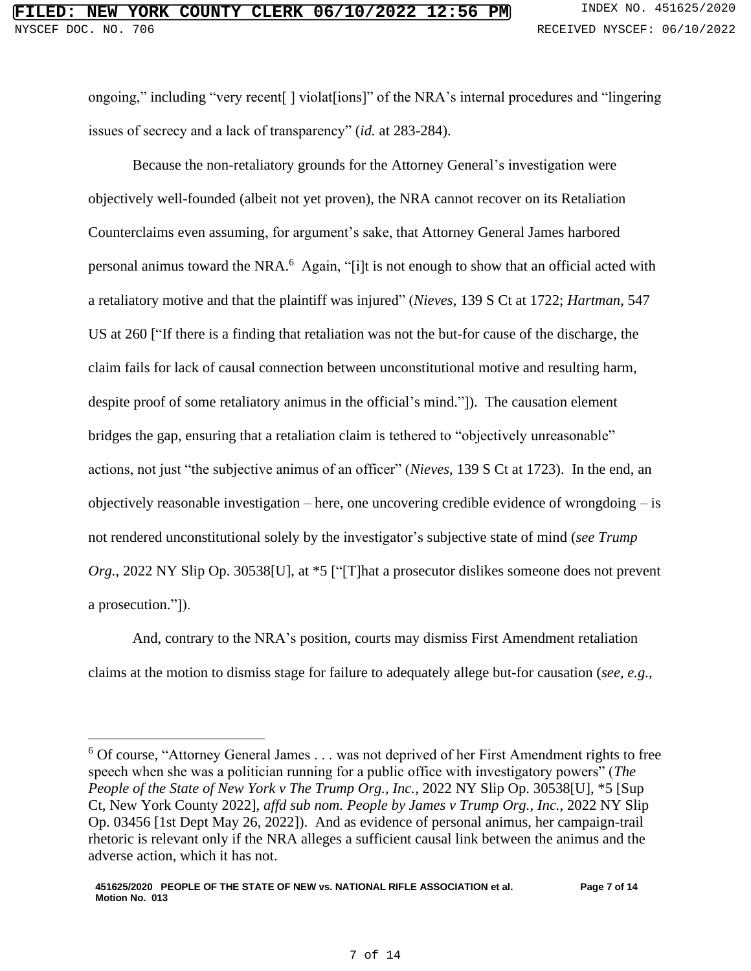ongoing," including "very recent[ ] violat[ions]" of the NRA's internal procedures and "lingering issues of secrecy and a lack of transparency" (*id.* at 283-284).

Because the non-retaliatory grounds for the Attorney General's investigation were objectively well-founded (albeit not yet proven), the NRA cannot recover on its Retaliation Counterclaims even assuming, for argument's sake, that Attorney General James harbored personal animus toward the NRA.<sup>6</sup> Again, "[i]t is not enough to show that an official acted with a retaliatory motive and that the plaintiff was injured" (*Nieves*, 139 S Ct at 1722; *Hartman*, 547 US at 260 ["If there is a finding that retaliation was not the but-for cause of the discharge, the claim fails for lack of causal connection between unconstitutional motive and resulting harm, despite proof of some retaliatory animus in the official's mind."]). The causation element bridges the gap, ensuring that a retaliation claim is tethered to "objectively unreasonable" actions, not just "the subjective animus of an officer" (*Nieves*, 139 S Ct at 1723). In the end, an objectively reasonable investigation – here, one uncovering credible evidence of wrongdoing – is not rendered unconstitutional solely by the investigator's subjective state of mind (*see Trump Org.*, 2022 NY Slip Op. 30538[U], at \*5 ["[T]hat a prosecutor dislikes someone does not prevent a prosecution."]).

And, contrary to the NRA's position, courts may dismiss First Amendment retaliation claims at the motion to dismiss stage for failure to adequately allege but-for causation (*see, e.g.*,

 $6$  Of course, "Attorney General James . . . was not deprived of her First Amendment rights to free speech when she was a politician running for a public office with investigatory powers" (*The People of the State of New York v The Trump Org., Inc.*, 2022 NY Slip Op. 30538[U], \*5 [Sup Ct, New York County 2022], *affd sub nom. People by James v Trump Org., Inc.*, 2022 NY Slip Op. 03456 [1st Dept May 26, 2022]). And as evidence of personal animus, her campaign-trail rhetoric is relevant only if the NRA alleges a sufficient causal link between the animus and the adverse action, which it has not.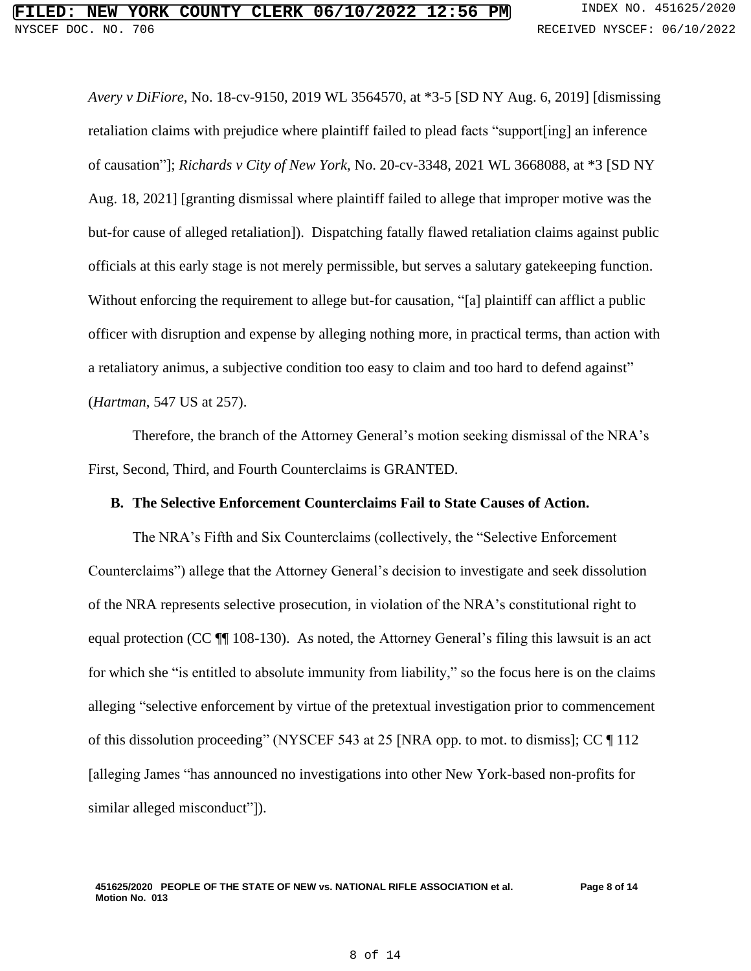*Avery v DiFiore*, No. 18-cv-9150, 2019 WL 3564570, at \*3-5 [SD NY Aug. 6, 2019] [dismissing retaliation claims with prejudice where plaintiff failed to plead facts "support[ing] an inference of causation"]; *Richards v City of New York*, No. 20-cv-3348, 2021 WL 3668088, at \*3 [SD NY Aug. 18, 2021] [granting dismissal where plaintiff failed to allege that improper motive was the but-for cause of alleged retaliation]). Dispatching fatally flawed retaliation claims against public officials at this early stage is not merely permissible, but serves a salutary gatekeeping function. Without enforcing the requirement to allege but-for causation, "[a] plaintiff can afflict a public officer with disruption and expense by alleging nothing more, in practical terms, than action with a retaliatory animus, a subjective condition too easy to claim and too hard to defend against" (*Hartman*, 547 US at 257).

Therefore, the branch of the Attorney General's motion seeking dismissal of the NRA's First, Second, Third, and Fourth Counterclaims is GRANTED.

## **B. The Selective Enforcement Counterclaims Fail to State Causes of Action.**

The NRA's Fifth and Six Counterclaims (collectively, the "Selective Enforcement Counterclaims") allege that the Attorney General's decision to investigate and seek dissolution of the NRA represents selective prosecution, in violation of the NRA's constitutional right to equal protection (CC ¶¶ 108-130). As noted, the Attorney General's filing this lawsuit is an act for which she "is entitled to absolute immunity from liability," so the focus here is on the claims alleging "selective enforcement by virtue of the pretextual investigation prior to commencement of this dissolution proceeding" (NYSCEF 543 at 25 [NRA opp. to mot. to dismiss]; CC ¶ 112 [alleging James "has announced no investigations into other New York-based non-profits for similar alleged misconduct"]).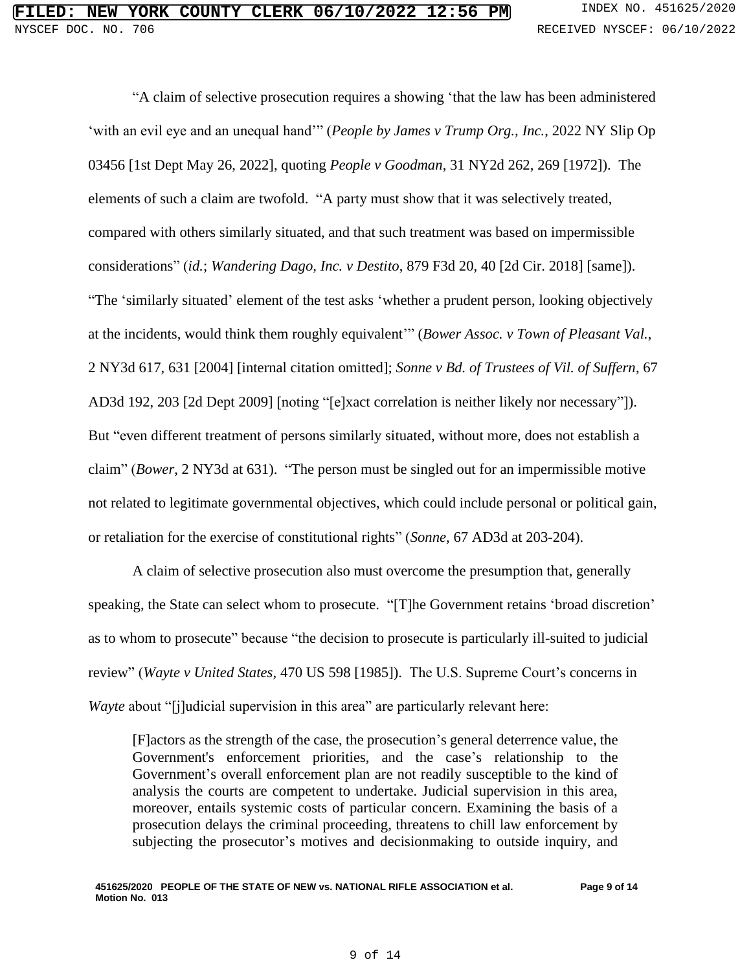"A claim of selective prosecution requires a showing 'that the law has been administered 'with an evil eye and an unequal hand'" (*People by James v Trump Org., Inc.*, 2022 NY Slip Op 03456 [1st Dept May 26, 2022], quoting *People v Goodman*, 31 NY2d 262, 269 [1972]). The elements of such a claim are twofold. "A party must show that it was selectively treated, compared with others similarly situated, and that such treatment was based on impermissible considerations" (*id.*; *Wandering Dago, Inc. v Destito*, 879 F3d 20, 40 [2d Cir. 2018] [same]). "The 'similarly situated' element of the test asks 'whether a prudent person, looking objectively at the incidents, would think them roughly equivalent'" (*Bower Assoc. v Town of Pleasant Val.*, 2 NY3d 617, 631 [2004] [internal citation omitted]; *Sonne v Bd. of Trustees of Vil. of Suffern*, 67 AD3d 192, 203 [2d Dept 2009] [noting "[e]xact correlation is neither likely nor necessary"]). But "even different treatment of persons similarly situated, without more, does not establish a claim" (*Bower*, 2 NY3d at 631). "The person must be singled out for an impermissible motive not related to legitimate governmental objectives, which could include personal or political gain, or retaliation for the exercise of constitutional rights" (*Sonne*, 67 AD3d at 203-204).

A claim of selective prosecution also must overcome the presumption that, generally speaking, the State can select whom to prosecute. "[T]he Government retains 'broad discretion' as to whom to prosecute" because "the decision to prosecute is particularly ill-suited to judicial review" (*Wayte v United States*, 470 US 598 [1985]). The U.S. Supreme Court's concerns in *Wayte* about "[j]udicial supervision in this area" are particularly relevant here:

[F]actors as the strength of the case, the prosecution's general deterrence value, the Government's enforcement priorities, and the case's relationship to the Government's overall enforcement plan are not readily susceptible to the kind of analysis the courts are competent to undertake. Judicial supervision in this area, moreover, entails systemic costs of particular concern. Examining the basis of a prosecution delays the criminal proceeding, threatens to chill law enforcement by subjecting the prosecutor's motives and decisionmaking to outside inquiry, and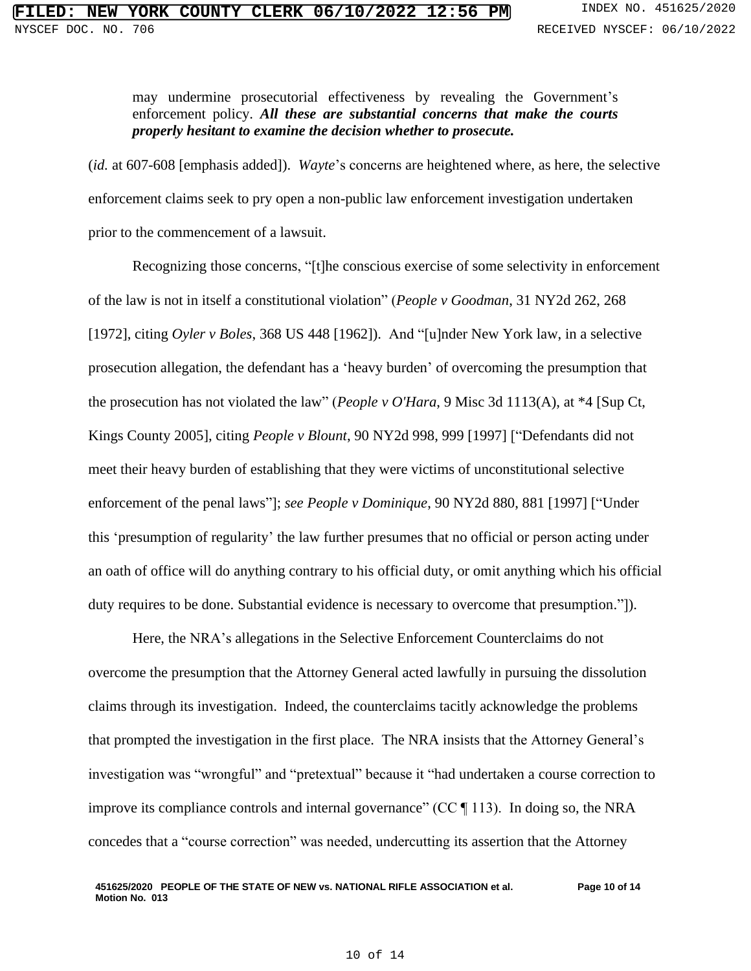may undermine prosecutorial effectiveness by revealing the Government's enforcement policy. *All these are substantial concerns that make the courts properly hesitant to examine the decision whether to prosecute.*

(*id.* at 607-608 [emphasis added]). *Wayte*'s concerns are heightened where, as here, the selective enforcement claims seek to pry open a non-public law enforcement investigation undertaken prior to the commencement of a lawsuit.

Recognizing those concerns, "[t]he conscious exercise of some selectivity in enforcement of the law is not in itself a constitutional violation" (*People v Goodman*, 31 NY2d 262, 268 [1972], citing *Oyler v Boles*, 368 US 448 [1962]). And "[u]nder New York law, in a selective prosecution allegation, the defendant has a 'heavy burden' of overcoming the presumption that the prosecution has not violated the law" (*People v O'Hara*, 9 Misc 3d 1113(A), at \*4 [Sup Ct, Kings County 2005], citing *People v Blount*, 90 NY2d 998, 999 [1997] ["Defendants did not meet their heavy burden of establishing that they were victims of unconstitutional selective enforcement of the penal laws"]; *see People v Dominique*, 90 NY2d 880, 881 [1997] ["Under this 'presumption of regularity' the law further presumes that no official or person acting under an oath of office will do anything contrary to his official duty, or omit anything which his official duty requires to be done. Substantial evidence is necessary to overcome that presumption."]).

Here, the NRA's allegations in the Selective Enforcement Counterclaims do not overcome the presumption that the Attorney General acted lawfully in pursuing the dissolution claims through its investigation. Indeed, the counterclaims tacitly acknowledge the problems that prompted the investigation in the first place. The NRA insists that the Attorney General's investigation was "wrongful" and "pretextual" because it "had undertaken a course correction to improve its compliance controls and internal governance" (CC  $\P$  113). In doing so, the NRA concedes that a "course correction" was needed, undercutting its assertion that the Attorney

#### **451625/2020 PEOPLE OF THE STATE OF NEW vs. NATIONAL RIFLE ASSOCIATION et al. Motion No. 013 Page 10 of 14**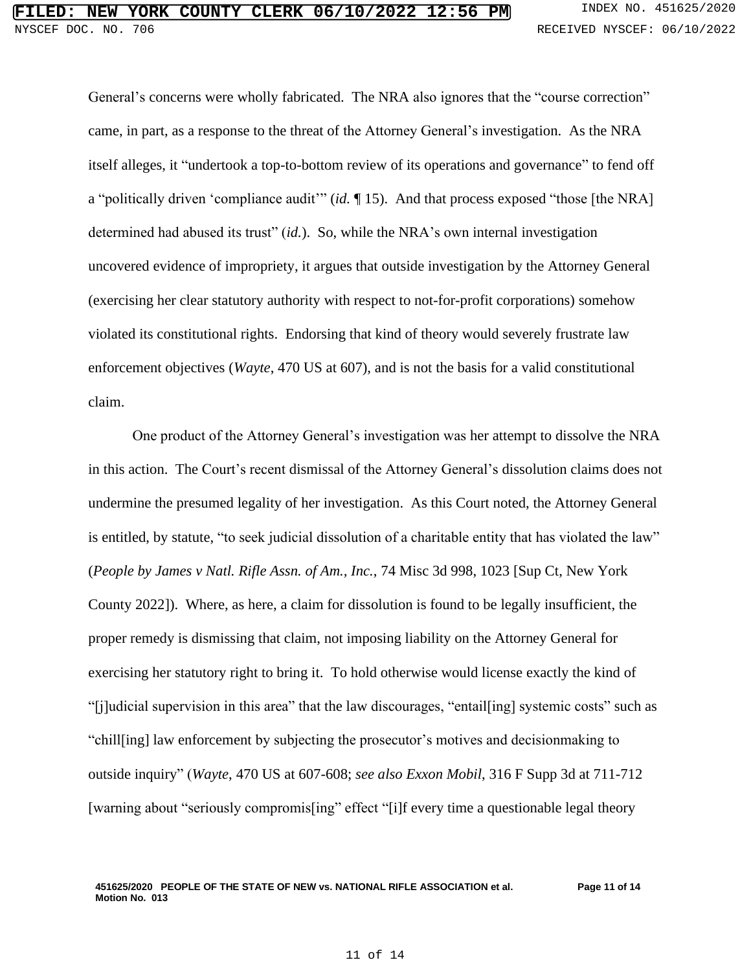General's concerns were wholly fabricated. The NRA also ignores that the "course correction" came, in part, as a response to the threat of the Attorney General's investigation. As the NRA itself alleges, it "undertook a top-to-bottom review of its operations and governance" to fend off a "politically driven 'compliance audit'" (*id.* ¶ 15). And that process exposed "those [the NRA] determined had abused its trust" (*id.*). So, while the NRA's own internal investigation uncovered evidence of impropriety, it argues that outside investigation by the Attorney General (exercising her clear statutory authority with respect to not-for-profit corporations) somehow violated its constitutional rights. Endorsing that kind of theory would severely frustrate law enforcement objectives (*Wayte*, 470 US at 607), and is not the basis for a valid constitutional claim.

One product of the Attorney General's investigation was her attempt to dissolve the NRA in this action. The Court's recent dismissal of the Attorney General's dissolution claims does not undermine the presumed legality of her investigation. As this Court noted, the Attorney General is entitled, by statute, "to seek judicial dissolution of a charitable entity that has violated the law" (*People by James v Natl. Rifle Assn. of Am., Inc.*, 74 Misc 3d 998, 1023 [Sup Ct, New York County 2022]). Where, as here, a claim for dissolution is found to be legally insufficient, the proper remedy is dismissing that claim, not imposing liability on the Attorney General for exercising her statutory right to bring it. To hold otherwise would license exactly the kind of "[j]udicial supervision in this area" that the law discourages, "entail[ing] systemic costs" such as "chill[ing] law enforcement by subjecting the prosecutor's motives and decisionmaking to outside inquiry" (*Wayte*, 470 US at 607-608; *see also Exxon Mobil*, 316 F Supp 3d at 711-712 [warning about "seriously compromis[ing" effect "[i]f every time a questionable legal theory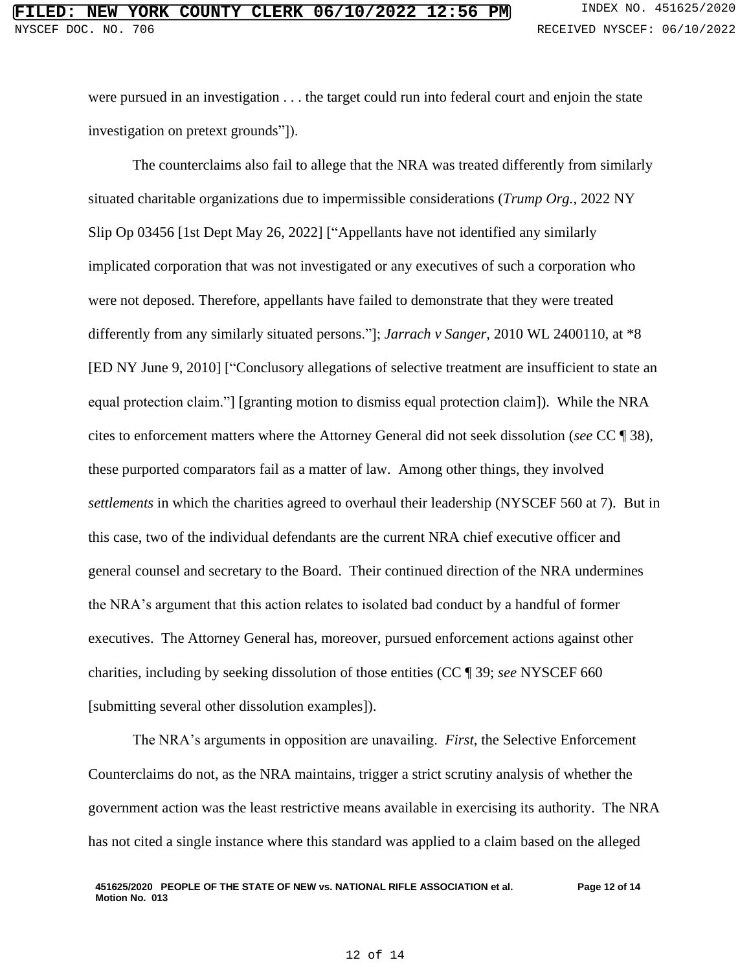were pursued in an investigation . . . the target could run into federal court and enjoin the state investigation on pretext grounds"]).

The counterclaims also fail to allege that the NRA was treated differently from similarly situated charitable organizations due to impermissible considerations (*Trump Org.*, 2022 NY Slip Op 03456 [1st Dept May 26, 2022] ["Appellants have not identified any similarly implicated corporation that was not investigated or any executives of such a corporation who were not deposed. Therefore, appellants have failed to demonstrate that they were treated differently from any similarly situated persons."]; *Jarrach v Sanger*, 2010 WL 2400110, at \*8 [ED NY June 9, 2010] ["Conclusory allegations of selective treatment are insufficient to state an equal protection claim."] [granting motion to dismiss equal protection claim]). While the NRA cites to enforcement matters where the Attorney General did not seek dissolution (*see* CC ¶ 38), these purported comparators fail as a matter of law. Among other things, they involved *settlements* in which the charities agreed to overhaul their leadership (NYSCEF 560 at 7). But in this case, two of the individual defendants are the current NRA chief executive officer and general counsel and secretary to the Board. Their continued direction of the NRA undermines the NRA's argument that this action relates to isolated bad conduct by a handful of former executives. The Attorney General has, moreover, pursued enforcement actions against other charities, including by seeking dissolution of those entities (CC ¶ 39; *see* NYSCEF 660 [submitting several other dissolution examples]).

The NRA's arguments in opposition are unavailing. *First*, the Selective Enforcement Counterclaims do not, as the NRA maintains, trigger a strict scrutiny analysis of whether the government action was the least restrictive means available in exercising its authority. The NRA has not cited a single instance where this standard was applied to a claim based on the alleged

#### **451625/2020 PEOPLE OF THE STATE OF NEW vs. NATIONAL RIFLE ASSOCIATION et al. Motion No. 013 Page 12 of 14**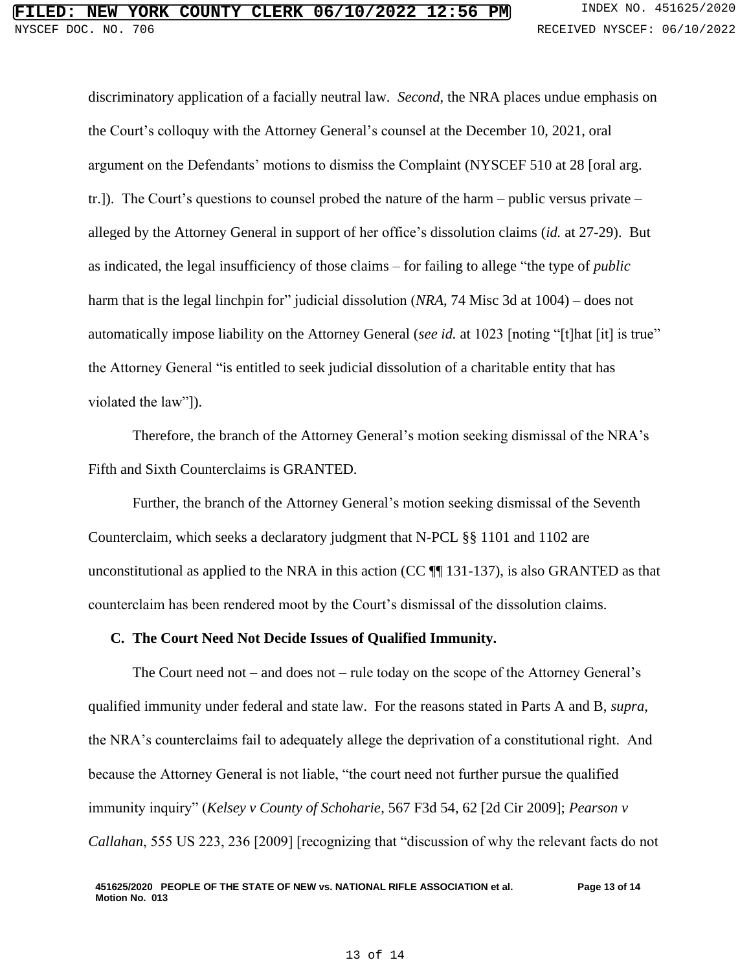discriminatory application of a facially neutral law. *Second*, the NRA places undue emphasis on the Court's colloquy with the Attorney General's counsel at the December 10, 2021, oral argument on the Defendants' motions to dismiss the Complaint (NYSCEF 510 at 28 [oral arg. tr.]). The Court's questions to counsel probed the nature of the harm – public versus private – alleged by the Attorney General in support of her office's dissolution claims (*id.* at 27-29). But as indicated, the legal insufficiency of those claims – for failing to allege "the type of *public* harm that is the legal linchpin for" judicial dissolution (*NRA*, 74 Misc 3d at 1004) – does not automatically impose liability on the Attorney General (*see id.* at 1023 [noting "[t]hat [it] is true" the Attorney General "is entitled to seek judicial dissolution of a charitable entity that has violated the law"]).

Therefore, the branch of the Attorney General's motion seeking dismissal of the NRA's Fifth and Sixth Counterclaims is GRANTED.

Further, the branch of the Attorney General's motion seeking dismissal of the Seventh Counterclaim, which seeks a declaratory judgment that N-PCL §§ 1101 and 1102 are unconstitutional as applied to the NRA in this action (CC  $\P$  131-137), is also GRANTED as that counterclaim has been rendered moot by the Court's dismissal of the dissolution claims.

### **C. The Court Need Not Decide Issues of Qualified Immunity.**

The Court need not – and does not – rule today on the scope of the Attorney General's qualified immunity under federal and state law. For the reasons stated in Parts A and B, *supra*, the NRA's counterclaims fail to adequately allege the deprivation of a constitutional right. And because the Attorney General is not liable, "the court need not further pursue the qualified immunity inquiry" (*Kelsey v County of Schoharie*, 567 F3d 54, 62 [2d Cir 2009]; *Pearson v Callahan*, 555 US 223, 236 [2009] [recognizing that "discussion of why the relevant facts do not

#### **451625/2020 PEOPLE OF THE STATE OF NEW vs. NATIONAL RIFLE ASSOCIATION et al. Motion No. 013 Page 13 of 14**